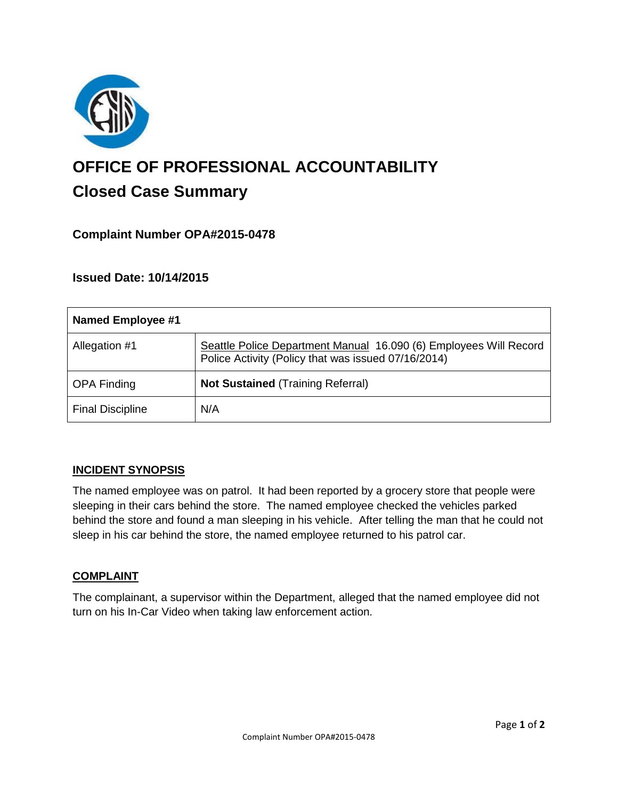

# **OFFICE OF PROFESSIONAL ACCOUNTABILITY Closed Case Summary**

## **Complaint Number OPA#2015-0478**

### **Issued Date: 10/14/2015**

| Named Employee #1       |                                                                                                                          |
|-------------------------|--------------------------------------------------------------------------------------------------------------------------|
| Allegation #1           | Seattle Police Department Manual 16.090 (6) Employees Will Record<br>Police Activity (Policy that was issued 07/16/2014) |
| <b>OPA Finding</b>      | <b>Not Sustained (Training Referral)</b>                                                                                 |
| <b>Final Discipline</b> | N/A                                                                                                                      |

## **INCIDENT SYNOPSIS**

The named employee was on patrol. It had been reported by a grocery store that people were sleeping in their cars behind the store. The named employee checked the vehicles parked behind the store and found a man sleeping in his vehicle. After telling the man that he could not sleep in his car behind the store, the named employee returned to his patrol car.

#### **COMPLAINT**

The complainant, a supervisor within the Department, alleged that the named employee did not turn on his In-Car Video when taking law enforcement action.